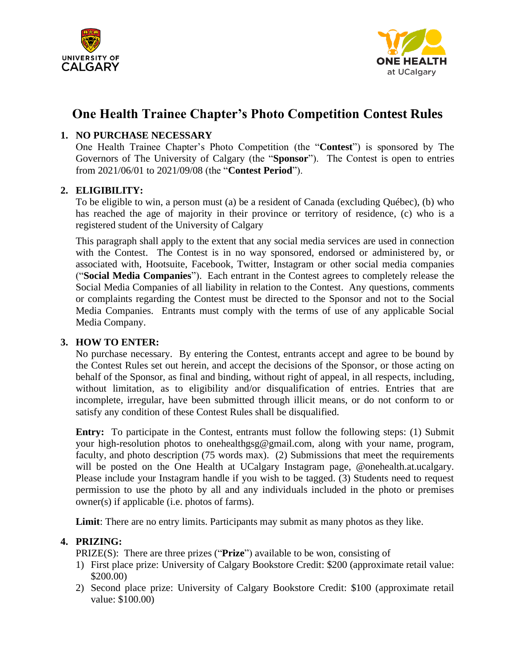



# **One Health Trainee Chapter's Photo Competition Contest Rules**

## **1. NO PURCHASE NECESSARY**

One Health Trainee Chapter's Photo Competition (the "**Contest**") is sponsored by The Governors of The University of Calgary (the "**Sponsor**"). The Contest is open to entries from 2021/06/01 to 2021/09/08 (the "**Contest Period**").

## **2. ELIGIBILITY:**

To be eligible to win, a person must (a) be a resident of Canada (excluding Québec), (b) who has reached the age of majority in their province or territory of residence, (c) who is a registered student of the University of Calgary

This paragraph shall apply to the extent that any social media services are used in connection with the Contest. The Contest is in no way sponsored, endorsed or administered by, or associated with, Hootsuite, Facebook, Twitter, Instagram or other social media companies ("**Social Media Companies**"). Each entrant in the Contest agrees to completely release the Social Media Companies of all liability in relation to the Contest. Any questions, comments or complaints regarding the Contest must be directed to the Sponsor and not to the Social Media Companies. Entrants must comply with the terms of use of any applicable Social Media Company.

### **3. HOW TO ENTER:**

No purchase necessary. By entering the Contest, entrants accept and agree to be bound by the Contest Rules set out herein, and accept the decisions of the Sponsor, or those acting on behalf of the Sponsor, as final and binding, without right of appeal, in all respects, including, without limitation, as to eligibility and/or disqualification of entries. Entries that are incomplete, irregular, have been submitted through illicit means, or do not conform to or satisfy any condition of these Contest Rules shall be disqualified.

**Entry:** To participate in the Contest, entrants must follow the following steps: (1) Submit your high-resolution photos to onehealthgsg@gmail.com, along with your name, program, faculty, and photo description (75 words max). (2) Submissions that meet the requirements will be posted on the One Health at UCalgary Instagram page, @onehealth.at.ucalgary. Please include your Instagram handle if you wish to be tagged. (3) Students need to request permission to use the photo by all and any individuals included in the photo or premises owner(s) if applicable (i.e. photos of farms).

**Limit**: There are no entry limits. Participants may submit as many photos as they like.

### **4. PRIZING:**

- PRIZE(S): There are three prizes ("**Prize**") available to be won, consisting of
- 1) First place prize: University of Calgary Bookstore Credit: \$200 (approximate retail value: \$200.00)
- 2) Second place prize: University of Calgary Bookstore Credit: \$100 (approximate retail value: \$100.00)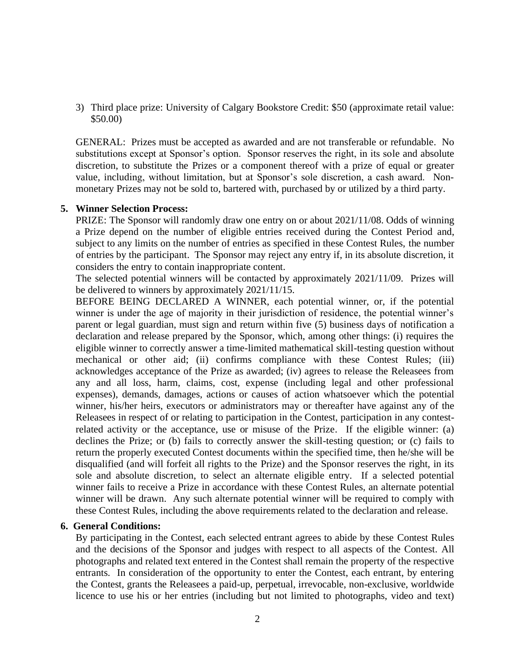3) Third place prize: University of Calgary Bookstore Credit: \$50 (approximate retail value: \$50.00)

GENERAL: Prizes must be accepted as awarded and are not transferable or refundable. No substitutions except at Sponsor's option. Sponsor reserves the right, in its sole and absolute discretion, to substitute the Prizes or a component thereof with a prize of equal or greater value, including, without limitation, but at Sponsor's sole discretion, a cash award. Nonmonetary Prizes may not be sold to, bartered with, purchased by or utilized by a third party.

#### **5. Winner Selection Process:**

PRIZE: The Sponsor will randomly draw one entry on or about 2021/11/08. Odds of winning a Prize depend on the number of eligible entries received during the Contest Period and, subject to any limits on the number of entries as specified in these Contest Rules, the number of entries by the participant. The Sponsor may reject any entry if, in its absolute discretion, it considers the entry to contain inappropriate content.

The selected potential winners will be contacted by approximately 2021/11/09. Prizes will be delivered to winners by approximately 2021/11/15.

BEFORE BEING DECLARED A WINNER, each potential winner, or, if the potential winner is under the age of majority in their jurisdiction of residence, the potential winner's parent or legal guardian, must sign and return within five (5) business days of notification a declaration and release prepared by the Sponsor, which, among other things: (i) requires the eligible winner to correctly answer a time-limited mathematical skill-testing question without mechanical or other aid; (ii) confirms compliance with these Contest Rules; (iii) acknowledges acceptance of the Prize as awarded; (iv) agrees to release the Releasees from any and all loss, harm, claims, cost, expense (including legal and other professional expenses), demands, damages, actions or causes of action whatsoever which the potential winner, his/her heirs, executors or administrators may or thereafter have against any of the Releasees in respect of or relating to participation in the Contest, participation in any contestrelated activity or the acceptance, use or misuse of the Prize. If the eligible winner: (a) declines the Prize; or (b) fails to correctly answer the skill-testing question; or (c) fails to return the properly executed Contest documents within the specified time, then he/she will be disqualified (and will forfeit all rights to the Prize) and the Sponsor reserves the right, in its sole and absolute discretion, to select an alternate eligible entry. If a selected potential winner fails to receive a Prize in accordance with these Contest Rules, an alternate potential winner will be drawn. Any such alternate potential winner will be required to comply with these Contest Rules, including the above requirements related to the declaration and release.

#### **6. General Conditions:**

By participating in the Contest, each selected entrant agrees to abide by these Contest Rules and the decisions of the Sponsor and judges with respect to all aspects of the Contest. All photographs and related text entered in the Contest shall remain the property of the respective entrants. In consideration of the opportunity to enter the Contest, each entrant, by entering the Contest, grants the Releasees a paid-up, perpetual, irrevocable, non-exclusive, worldwide licence to use his or her entries (including but not limited to photographs, video and text)